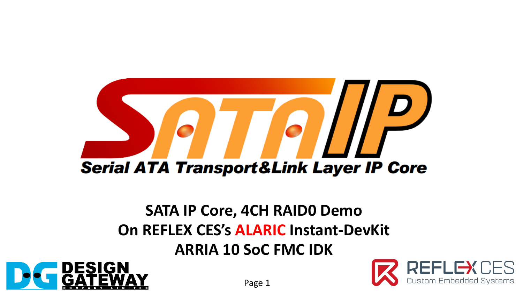

## **SATA IP Core, 4CH RAID0 Demo On REFLEX CES's ALARIC Instant-DevKit**

**ARRIA 10 SoC FMC IDK**



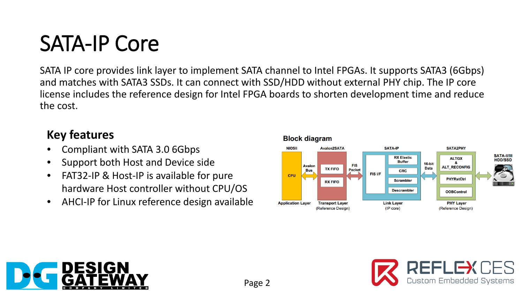# SATA-IP Core

SATA IP core provides link layer to implement SATA channel to Intel FPGAs. It supports SATA3 (6Gbps) and matches with SATA3 SSDs. It can connect with SSD/HDD without external PHY chip. The IP core license includes the reference design for Intel FPGA boards to shorten development time and reduce the cost.

#### **Key features**

- Compliant with SATA 3.0 6Gbps
- Support both Host and Device side
- FAT32-IP & Host-IP is available for pure hardware Host controller without CPU/OS
- AHCI-IP for Linux reference design available





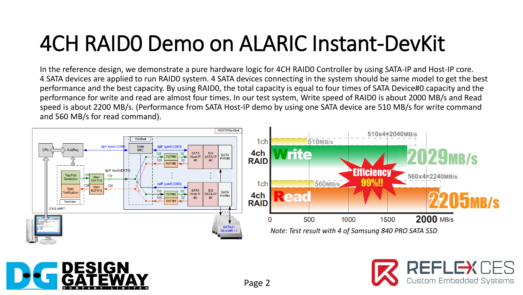# 4CH RAID0 Demo on ALARIC Instant-DevKit

In the reference design, we demonstrate a pure hardware logic for 4CH RAID0 Controller by using SATA-IP and Host-IP core. 4 SATA devices are applied to run RAID0 system. 4 SATA devices connecting in the system should be same model to get the best performance and the best capacity. By using RAID0, the total capacity is equal to four times of SATA Device#0 capacity and the performance for write and read are almost four times. In our test system, Write speed of RAID0 is about 2000 MB/s and Read speed is about 2200 MB/s. (Performance from SATA Host-IP demo by using one SATA device are 510 MB/s for write command and 560 MB/s for read command).





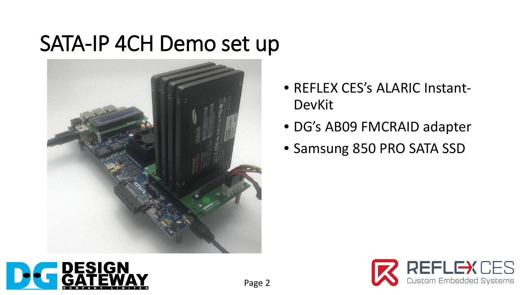## SATA-IP 4CH Demo set up



- REFLEX CES's ALARIC Instant-DevKit
- DG's AB09 FMCRAID adapter
- Samsung 850 PRO SATA SSD



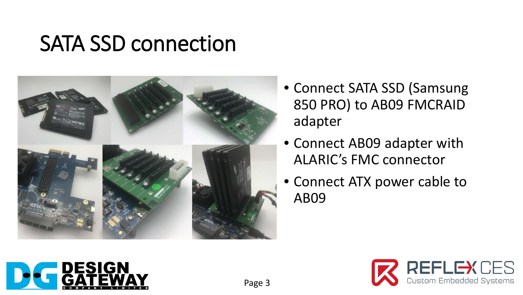### SATA SSD connection



- Connect SATA SSD (Samsung 850 PRO) to AB09 FMCRAID adapter
- Connect AB09 adapter with ALARIC's FMC connector
- Connect ATX power cable to AB09